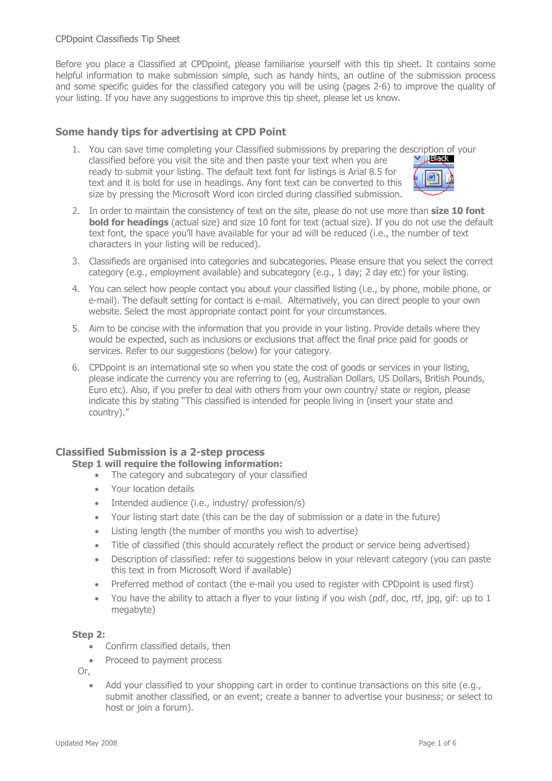Before you place a Classified at CPDpoint, please familiarise yourself with this tip sheet. It contains some helpful information to make submission simple, such as handy hints, an outline of the submission process and some specific guides for the classified category you will be using (pages 2-6) to improve the quality of your listing. If you have any suggestions to improve this tip sheet, please let us know.

## **Some handy tips for advertising at CPD Point**

1. You can save time completing your Classified submissions by preparing the description of your classified before you visit the site and then paste your text when you are ready to submit your listing. The default text font for listings is Arial 8.5 for text and it is bold for use in headings. Any font text can be converted to this size by pressing the Microsoft Word icon circled during classified submission.



- 2. In order to maintain the consistency of text on the site, please do not use more than **size 10 font bold for headings** (actual size) and size 10 font for text (actual size). If you do not use the default text font, the space you'll have available for your ad will be reduced (i.e., the number of text characters in your listing will be reduced).
- 3. Classifieds are organised into categories and subcategories. Please ensure that you select the correct category (e.g., employment available) and subcategory (e.g., 1 day; 2 day etc) for your listing.
- 4. You can select how people contact you about your classified listing (i.e., by phone, mobile phone, or e-mail). The default setting for contact is e-mail. Alternatively, you can direct people to your own website. Select the most appropriate contact point for your circumstances.
- 5. Aim to be concise with the information that you provide in your listing. Provide details where they would be expected, such as inclusions or exclusions that affect the final price paid for goods or services. Refer to our suggestions (below) for your category.
- 6. CPDpoint is an international site so when you state the cost of goods or services in your listing, please indicate the currency you are referring to (eg, Australian Dollars, US Dollars, British Pounds, Euro etc). Also, if you prefer to deal with others from your own country/ state or region, please indicate this by stating "This classified is intended for people living in (insert your state and country)."

# **Classified Submission is a 2-step process**

## **Step 1 will require the following information:**

- The category and subcategory of your classified
- Your location details
- Intended audience (i.e., industry/ profession/s)
- Your listing start date (this can be the day of submission or a date in the future)
- Listing length (the number of months you wish to advertise)
- Title of classified (this should accurately reflect the product or service being advertised)
- Description of classified: refer to suggestions below in your relevant category (you can paste this text in from Microsoft Word if available)
- Preferred method of contact (the e-mail you used to register with CPDpoint is used first)
- You have the ability to attach a flyer to your listing if you wish (pdf, doc, rtf, jpg, gif: up to 1 megabyte)

## **Step 2:**

- Confirm classified details, then
- Proceed to payment process

Or,

Add your classified to your shopping cart in order to continue transactions on this site (e.g., submit another classified, or an event; create a banner to advertise your business; or select to host or join a forum).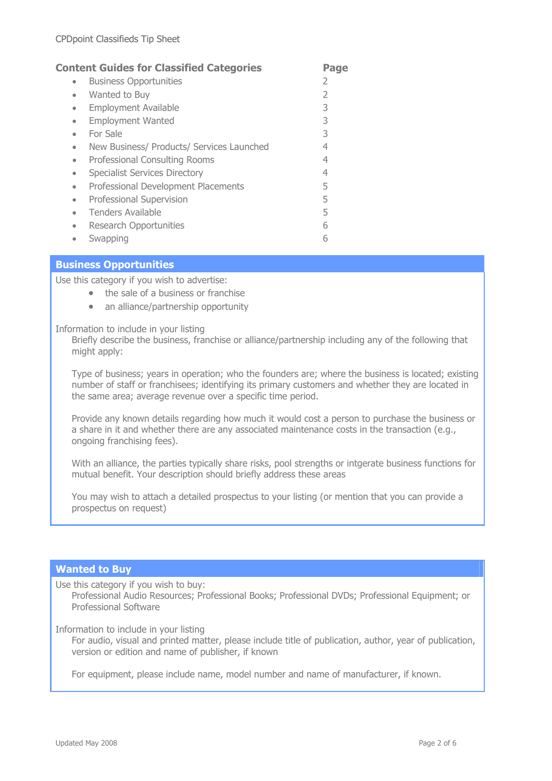| <b>Content Guides for Classified Categories</b> |                                           | Page |
|-------------------------------------------------|-------------------------------------------|------|
| $\bullet$                                       | <b>Business Opportunities</b>             | 2    |
| $\bullet$                                       | Wanted to Buy                             | 2    |
| ۰                                               | <b>Employment Available</b>               | 3    |
| $\bullet$                                       | <b>Employment Wanted</b>                  | 3    |
| $\bullet$                                       | For Sale                                  | 3    |
| ۰                                               | New Business/ Products/ Services Launched | 4    |
| $\bullet$                                       | Professional Consulting Rooms             | 4    |
| ۰                                               | <b>Specialist Services Directory</b>      | 4    |
| $\bullet$                                       | Professional Development Placements       | 5    |
| ٠                                               | Professional Supervision                  | 5    |
| $\bullet$                                       | Tenders Available                         | 5    |
| $\bullet$                                       | <b>Research Opportunities</b>             | 6    |
|                                                 | Swapping                                  | 6    |

## **Business Opportunities**

Use this category if you wish to advertise:

- the sale of a business or franchise
- an alliance/partnership opportunity

Information to include in your listing

 Briefly describe the business, franchise or alliance/partnership including any of the following that might apply:

Type of business; years in operation; who the founders are; where the business is located; existing number of staff or franchisees; identifying its primary customers and whether they are located in the same area; average revenue over a specific time period.

Provide any known details regarding how much it would cost a person to purchase the business or a share in it and whether there are any associated maintenance costs in the transaction (e.g., ongoing franchising fees).

With an alliance, the parties typically share risks, pool strengths or intgerate business functions for mutual benefit. Your description should briefly address these areas

You may wish to attach a detailed prospectus to your listing (or mention that you can provide a prospectus on request)

## **Wanted to Buy**

Use this category if you wish to buy:

 Professional Audio Resources; Professional Books; Professional DVDs; Professional Equipment; or Professional Software

Information to include in your listing

 For audio, visual and printed matter, please include title of publication, author, year of publication, version or edition and name of publisher, if known

For equipment, please include name, model number and name of manufacturer, if known.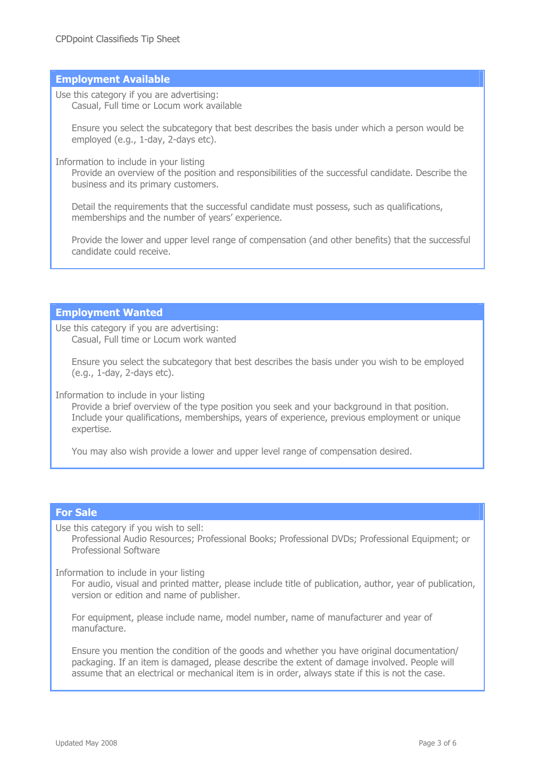## **Employment Available**

Use this category if you are advertising:

Casual, Full time or Locum work available

 Ensure you select the subcategory that best describes the basis under which a person would be employed (e.g., 1-day, 2-days etc).

Information to include in your listing

 Provide an overview of the position and responsibilities of the successful candidate. Describe the business and its primary customers.

Detail the requirements that the successful candidate must possess, such as qualifications, memberships and the number of years' experience.

Provide the lower and upper level range of compensation (and other benefits) that the successful candidate could receive.

#### **Employment Wanted**

Use this category if you are advertising: Casual, Full time or Locum work wanted

 Ensure you select the subcategory that best describes the basis under you wish to be employed (e.g., 1-day, 2-days etc).

Information to include in your listing

 Provide a brief overview of the type position you seek and your background in that position. Include your qualifications, memberships, years of experience, previous employment or unique expertise.

You may also wish provide a lower and upper level range of compensation desired.

## **For Sale**

Use this category if you wish to sell:

 Professional Audio Resources; Professional Books; Professional DVDs; Professional Equipment; or Professional Software

Information to include in your listing

 For audio, visual and printed matter, please include title of publication, author, year of publication, version or edition and name of publisher.

For equipment, please include name, model number, name of manufacturer and year of manufacture.

Ensure you mention the condition of the goods and whether you have original documentation/ packaging. If an item is damaged, please describe the extent of damage involved. People will assume that an electrical or mechanical item is in order, always state if this is not the case.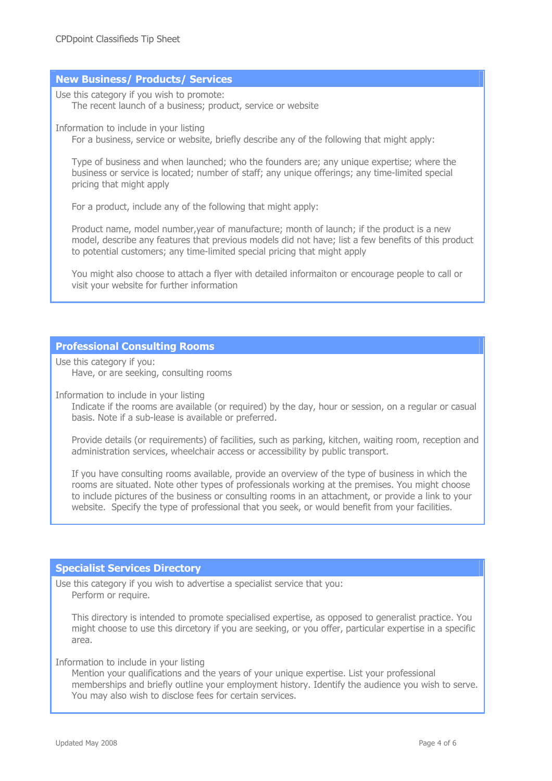#### **New Business/ Products/ Services**

Use this category if you wish to promote: The recent launch of a business; product, service or website

Information to include in your listing

For a business, service or website, briefly describe any of the following that might apply:

Type of business and when launched; who the founders are; any unique expertise; where the business or service is located; number of staff; any unique offerings; any time-limited special pricing that might apply

For a product, include any of the following that might apply:

Product name, model number,year of manufacture; month of launch; if the product is a new model, describe any features that previous models did not have; list a few benefits of this product to potential customers; any time-limited special pricing that might apply

You might also choose to attach a flyer with detailed informaiton or encourage people to call or visit your website for further information

#### **Professional Consulting Rooms**

Use this category if you: Have, or are seeking, consulting rooms

Information to include in your listing

 Indicate if the rooms are available (or required) by the day, hour or session, on a regular or casual basis. Note if a sub-lease is available or preferred.

Provide details (or requirements) of facilities, such as parking, kitchen, waiting room, reception and administration services, wheelchair access or accessibility by public transport.

If you have consulting rooms available, provide an overview of the type of business in which the rooms are situated. Note other types of professionals working at the premises. You might choose to include pictures of the business or consulting rooms in an attachment, or provide a link to your website. Specify the type of professional that you seek, or would benefit from your facilities.

#### **Specialist Services Directory**

Use this category if you wish to advertise a specialist service that you: Perform or require.

 This directory is intended to promote specialised expertise, as opposed to generalist practice. You might choose to use this dircetory if you are seeking, or you offer, particular expertise in a specific area.

Information to include in your listing

 Mention your qualifications and the years of your unique expertise. List your professional memberships and briefly outline your employment history. Identify the audience you wish to serve. You may also wish to disclose fees for certain services.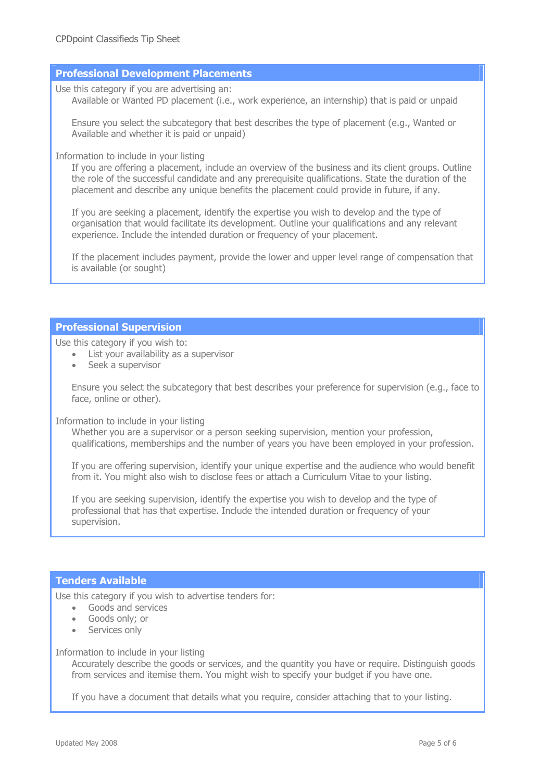## **Professional Development Placements**

Use this category if you are advertising an:

Available or Wanted PD placement (i.e., work experience, an internship) that is paid or unpaid

 Ensure you select the subcategory that best describes the type of placement (e.g., Wanted or Available and whether it is paid or unpaid)

Information to include in your listing

 If you are offering a placement, include an overview of the business and its client groups. Outline the role of the successful candidate and any prerequisite qualifications. State the duration of the placement and describe any unique benefits the placement could provide in future, if any.

If you are seeking a placement, identify the expertise you wish to develop and the type of organisation that would facilitate its development. Outline your qualifications and any relevant experience. Include the intended duration or frequency of your placement.

If the placement includes payment, provide the lower and upper level range of compensation that is available (or sought)

## **Professional Supervision**

Use this category if you wish to:

- List your availability as a supervisor
- Seek a supervisor

 Ensure you select the subcategory that best describes your preference for supervision (e.g., face to face, online or other).

Information to include in your listing

 Whether you are a supervisor or a person seeking supervision, mention your profession, qualifications, memberships and the number of years you have been employed in your profession.

If you are offering supervision, identify your unique expertise and the audience who would benefit from it. You might also wish to disclose fees or attach a Curriculum Vitae to your listing.

If you are seeking supervision, identify the expertise you wish to develop and the type of professional that has that expertise. Include the intended duration or frequency of your supervision.

## **Tenders Available**

Use this category if you wish to advertise tenders for:

- Goods and services
- Goods only; or
- Services only

#### Information to include in your listing

 Accurately describe the goods or services, and the quantity you have or require. Distinguish goods from services and itemise them. You might wish to specify your budget if you have one.

If you have a document that details what you require, consider attaching that to your listing.